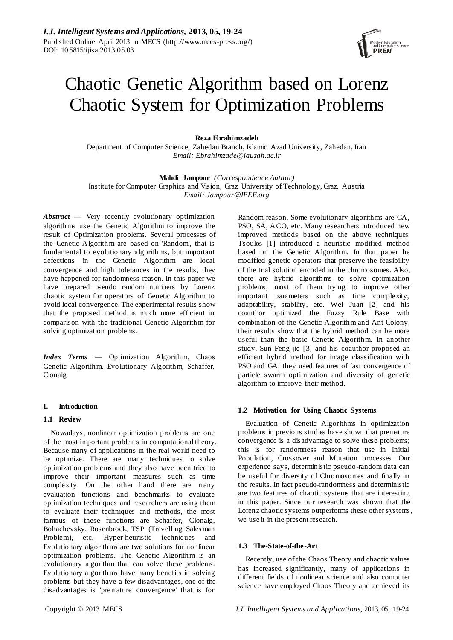

# Chaotic Genetic Algorithm based on Lorenz Chaotic System for Optimization Problems

# **Reza Ebrahimzadeh**

Department of Computer Science, Zahedan Branch, Islamic Azad University, Zahedan, Iran *Email: Ebrahimzade@iauzah.ac.ir*

**Mahdi Jampour** *(Correspondence Author)* Institute for Computer Graphics and Vision, Graz University of Technology, Graz, Austria *Email: Jampour@IEEE.org*

*Abstract* — Very recently evolutionary optimization algorithms use the Genetic Algorithm to improve the result of Optimization problems. Several processes of the Genetic Algorithm are based on 'Random', that is fundamental to evolutionary algorithms, but important defections in the Genetic Algorithm are local convergence and high tolerances in the results, they have happened for randomness reason. In this paper we have prepared pseudo random numbers by Lorenz chaotic system for operators of Genetic Algorithm to avoid local convergence. The experimental results show that the proposed method is much more efficient in comparison with the traditional Genetic Algorithm for solving optimization problems.

*Index Terms* **—** Optimization Algorithm, Chaos Genetic Algorithm, Evolutionary Algorithm, Schaffer, Clonalg

## **I. Introduction**

## **1.1 Review**

**N**owadays, nonlinear optimization problems are one of the most important problems in computational theory. Because many of applications in the real world need to be optimize. There are many techniques to solve optimization problems and they also have been tried to improve their important measures such as time complexity. On the other hand there are many evaluation functions and benchmarks to evaluate optimization techniques and researchers are using them to evaluate their techniques and methods, the most famous of these functions are Schaffer, Clonalg, Bohachevsky, Rosenbrock, TSP (Travelling Sales man Problem), etc. Hyper-heuristic techniques and Evolutionary algorithms are two solutions for nonlinear optimization problems. The Genetic Algorithm is an evolutionary algorithm that can solve these problems. Evolutionary algorithms have many benefits in solving problems but they have a few disadvantages, one of the disadvantages is 'premature convergence' that is for

Random reason. Some evolutionary algorithms are GA, PSO, SA, ACO, etc. Many researchers introduced new improved methods based on the above techniques; Tsoulos [1] introduced a heuristic modified method based on the Genetic Algorithm. In that paper he modified genetic operators that preserve the feasibility of the trial solution encoded in the chromosomes. Also, there are hybrid algorithms to solve optimization problems; most of them trying to improve other important parameters such as time complexity, adaptability, stability, etc. Wei Juan [2] and his coauthor optimized the Fuzzy Rule Base with combination of the Genetic Algorithm and Ant Colony; their results show that the hybrid method can be more useful than the basic Genetic Algorithm. In another study, Sun Feng-jie [3] and his coauthor proposed an efficient hybrid method for image classification with PSO and GA; they used features of fast convergence of particle swarm optimization and diversity of genetic algorithm to improve their method.

## **1.2 Motivation for Using Chaotic Systems**

Evaluation of Genetic Algorithms in optimization problems in previous studies have shown that premature convergence is a disadvantage to solve these problems; this is for randomness reason that use in Initial Population, Crossover and Mutation processes. Our experience says, deterministic pseudo-random data can be useful for diversity of Chromosomes and finally in the results. In fact pseudo-randomness and deterministic are two features of chaotic systems that are interesting in this paper. Since our research was shown that the Lorenz chaotic systems outperforms these other systems, we use it in the present research.

# **1.3 The-State-of-the-Art**

Recently, use of the Chaos Theory and chaotic values has increased significantly, many of applications in different fields of nonlinear science and also computer science have employed Chaos Theory and achieved its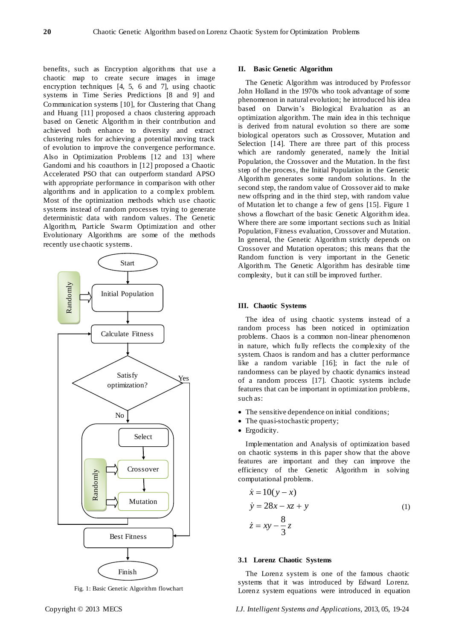benefits, such as Encryption algorithms that use a chaotic map to create secure images in image encryption techniques [4, 5, 6 and 7], using chaotic systems in Time Series Predictions [8 and 9] and Communication systems [10], for Clustering that Chang and Huang [11] proposed a chaos clustering approach based on Genetic Algorithm in their contribution and achieved both enhance to diversity and extract clustering rules for achieving a potential moving track of evolution to improve the convergence performance. Also in Optimization Problems [12 and 13] where Gandomi and his coauthors in [12] proposed a Chaotic Accelerated PSO that can outperform standard APSO with appropriate performance in comparison with other algorithms and in application to a complex problem. Most of the optimization methods which use chaotic systems instead of random processes trying to generate deterministic data with random values. The Genetic Algorithm, Particle Swarm Optimization and other Evolutionary Algorithms are some of the methods recently use chaotic systems.



Fig. 1: Basic Genetic Algorithm flowchart

## **II. Basic Genetic Algorithm**

The Genetic Algorithm was introduced by Professor John Holland in the 1970s who took advantage of some phenomenon in natural evolution; he introduced his idea based on Darwin's Biological Evaluation as an optimization algorithm. The main idea in this technique is derived from natural evolution so there are some biological operators such as Crossover, Mutation and Selection [14]. There are three part of this process which are randomly generated, namely the Initial Population, the Crossover and the Mutation. In the first step of the process, the Initial Population in the Genetic Algorithm generates some random solutions. In the second step, the random value of Crossover aid to make new offspring and in the third step, with random value of Mutation let to change a few of gens [15]. Figure 1 shows a flowchart of the basic Genetic Algorithm idea. Where there are some important sections such as Initial Population, Fitness evaluation, Crossover and Mutation. In general, the Genetic Algorithm strictly depends on Crossover and Mutation operators; this means that the Random function is very important in the Genetic Algorithm. The Genetic Algorithm has desirable time complexity, but it can still be improved further.

## **III. Chaotic Systems**

The idea of using chaotic systems instead of a random process has been noticed in optimization problems. Chaos is a common non-linear phenomenon in nature, which fully reflects the complexity of the system. Chaos is random and has a clutter performance like a random variable [16]; in fact the rule of randomness can be played by chaotic dynamics instead of a random process [17]. Chaotic systems include features that can be important in optimization problems, such as:

- The sensitive dependence on initial conditions;
- The quasi-stochastic property;
- Ergodicity.

Implementation and Analysis of optimization based on chaotic systems in this paper show that the above features are important and they can improve the efficiency of the Genetic Algorithm in solving computational problems.

$$
\begin{aligned}\n\dot{x} &= 10(y - x) \\
\dot{y} &= 28x - xz + y \\
\dot{z} &= xy - \frac{8}{3}z\n\end{aligned} (1)
$$

# **3.1 Lorenz Chaotic Systems**

The Lorenz system is one of the famous chaotic systems that it was introduced by Edward Lorenz. Lorenz system equations were introduced in equation

Copyright © 2013 MECS *I.J. Intelligent Systems and Applications,* 2013, 05, 19-24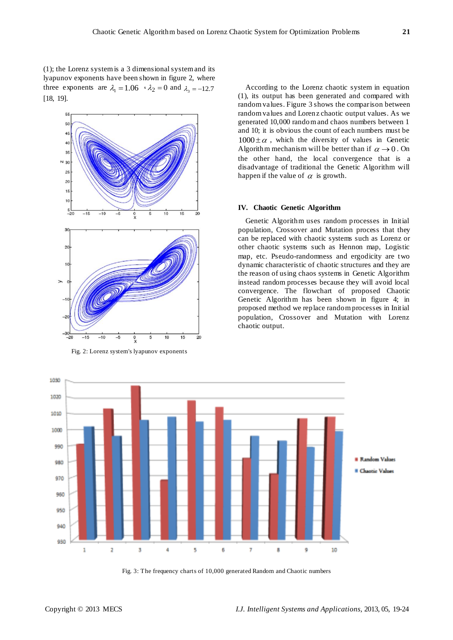(1); the Lorenz system is a 3 dimensional system and its lyapunov exponents have been shown in figure 2, where three exponents are  $\lambda_1 = 1.06$   $\lambda_2 = 0$  and  $\lambda_3 = -12.7$ [18, 19].



Fig. 2: Lorenz system's lyapunov exponents

According to the Lorenz chaotic system in equation (1), its output has been generated and compared with random values. Figure 3 shows the comparison between random values and Lorenz chaotic output values. As we generated 10,000 random and chaos numbers between 1 and 10; it is obvious the count of each numbers must be  $1000 \pm \alpha$ , which the diversity of values in Genetic Algorithm mechanism will be better than if  $\alpha \rightarrow 0$ . On the other hand, the local convergence that is a disadvantage of traditional the Genetic Algorithm will happen if the value of  $\alpha$  is growth.

### **IV. Chaotic Genetic Algorithm**

Genetic Algorithm uses random processes in Initial population, Crossover and Mutation process that they can be replaced with chaotic systems such as Lorenz or other chaotic systems such as Hennon map, Logistic map, etc. Pseudo-randomness and ergodicity are two dynamic characteristic of chaotic structures and they are the reason of using chaos systems in Genetic Algorithm instead random processes because they will avoid local convergence. The flowchart of proposed Chaotic Genetic Algorithm has been shown in figure 4; in proposed method we replace random processes in Initial population, Crossover and Mutation with Lorenz chaotic output.



Fig. 3: The frequency charts of 10,000 generated Random and Chaotic numbers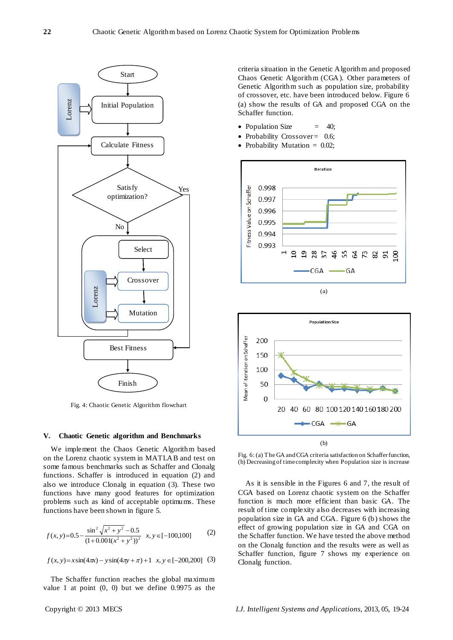

Fig. 4: Chaotic Genetic Algorithm flowchart

#### **V. Chaotic Genetic algorithm [and Benchmarks](javascript:void(0))**

We implement the Chaos Genetic Algorithm based on the Lorenz chaotic system in MATLAB and test on some famous benchmarks such as Schaffer and Clonalg functions. Schaffer is introduced in equation (2) and also we introduce Clonalg in equation (3). These two functions have many good features for optimization problems such as kind of acceptable optimums. These functions have been shown in figure 5.

$$
f(x, y)=0.5 - \frac{\sin^2\sqrt{x^2 + y^2} - 0.5}{(1 + 0.001(x^2 + y^2))^2} \quad x, y \in [-100, 100] \tag{2}
$$

$$
f(x, y) = x \sin(4\pi x) - y \sin(4\pi y + \pi) + 1
$$
  $x, y \in [-200, 200]$  (3)

 value 1 at point (0, 0) but we define 0.9975 as the The Schaffer function reaches the global maximum

criteria situation in the Genetic Algorithm and proposed Chaos Genetic Algorithm (CGA). Other parameters of Genetic Algorithm such as population size, probability of crossover, etc. have been introduced below. Figure 6 (a) show the results of GA and proposed CGA on the Schaffer function.

- Population Size = 40;
- Probability Crossover = 0.6;
- Probability Mutation  $= 0.02$ ;



(b)

Fig. 6: (a) The GA and CGA criteria satisfaction on Schaffer function, (b) Decreasing of time complexity when Population size is increase

As it is sensible in the Figures 6 and 7, the result of CGA based on Lorenz chaotic system on the Schaffer function is much more efficient than basic GA. The result of time complexity also decreases with increasing population size in GA and CGA. Figure 6 (b) shows the effect of growing population size in GA and CGA on the Schaffer function. We have tested the above method on the Clonalg function and the results were as well as Schaffer function, figure 7 shows my experience on Clonalg function.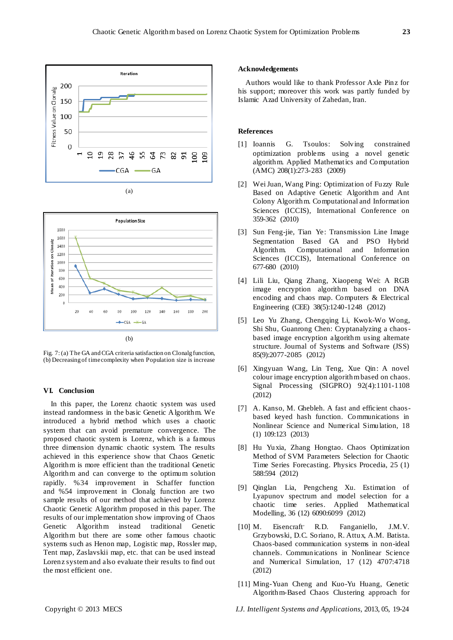





Fig. 7: (a) The GA and CGA criteria satisfaction on Clonalg function, (b) Decreasing of time complexity when Population size is increase

## **VI. Conclusion**

In this paper, the Lorenz chaotic system was used instead randomness in the basic Genetic Algorithm. We introduced a hybrid method which uses a chaotic system that can avoid premature convergence. The proposed chaotic system is Lorenz, which is a famous three dimension dynamic chaotic system. The results achieved in this experience show that Chaos Genetic Algorithm is more efficient than the traditional Genetic Algorithm and can converge to the optimum solution rapidly. %34 improvement in Schaffer function and %54 improvement in Clonalg function are two sample results of our method that achieved by Lorenz Chaotic Genetic Algorithm proposed in this paper. The results of our implementation show improving of Chaos Genetic Algorithm instead traditional Genetic Algorithm but there are some other famous chaotic systems such as Henon map, Logistic map, Rossler map, Tent map, Zaslavskii map, etc. that can be used instead Lorenz system and also evaluate their results to find out the most efficient one.

## **Acknowledgements**

Authors would like to thank Professor Axle Pinz for his support; moreover this work was partly funded by Islamic Azad University of Zahedan, Iran.

## **References**

- [1] Ioannis G. Tsoulos: Solving constrained optimization problems using a novel genetic algorithm. Applied Mathematics and Computation (AMC) 208(1):273-283 (2009)
- [2] Wei Juan, Wang Ping: Optimization of Fuzzy Rule Based on Adaptive Genetic Algorithm and Ant Colony Algorithm. Computational and Information Sciences (ICCIS), International Conference on 359-362 (2010)
- [3] Sun Feng-jie, Tian Ye: Transmission Line Image Segmentation Based GA and PSO Hybrid Algorithm. Computational and Information Sciences (ICCIS), International Conference on 677-680 (2010)
- [4] Lili Liu, Qiang Zhang, Xiaopeng Wei: A RGB image encryption algorithm based on DNA encoding and chaos map. Computers & Electrical Engineering (CEE) 38(5):1240-1248 (2012)
- [5] Leo Yu Zhang, Chengqing Li, Kwok-Wo Wong, Shi Shu, Guanrong Chen: Cryptanalyzing a chaosbased image encryption algorithm using alternate structure. Journal of Systems and Software (JSS) 85(9):2077-2085 (2012)
- [6] Xingyuan Wang, Lin Teng, Xue Qin: A novel colour image encryption algorithm based on chaos. Signal Processing (SIGPRO) 92(4):1101-1108 (2012)
- [7] A. Kanso, M. Ghebleh. A fast and efficient chaosbased keyed hash function. Communications in Nonlinear Science and Numerical Simulation, 18 (1) 109:123 (2013)
- [8] Hu Yuxia, Zhang Hongtao. Chaos Optimization Method of SVM Parameters Selection for Chaotic Time Series Forecasting. Physics Procedia, 25 (1) 588:594 (2012)
- [9] Qinglan Lia, Pengcheng Xu. Estimation of Lyapunov spectrum and model selection for a chaotic time series. Applied Mathematical Modelling, 36 (12) 6090:6099 (2012)
- [10] M. Eisencraft<sup>,</sup> R.D. Fanganiello, J.M.V. Grzybowski, D.C. Soriano, R. Attux, A.M. Batista. Chaos-based communication systems in non-ideal channels. Communications in Nonlinear Science and Numerical Simulation, 17 (12) 4707:4718 (2012)
- [11] Ming-Yuan Cheng and Kuo-Yu Huang, Genetic Algorithm-Based Chaos Clustering approach for